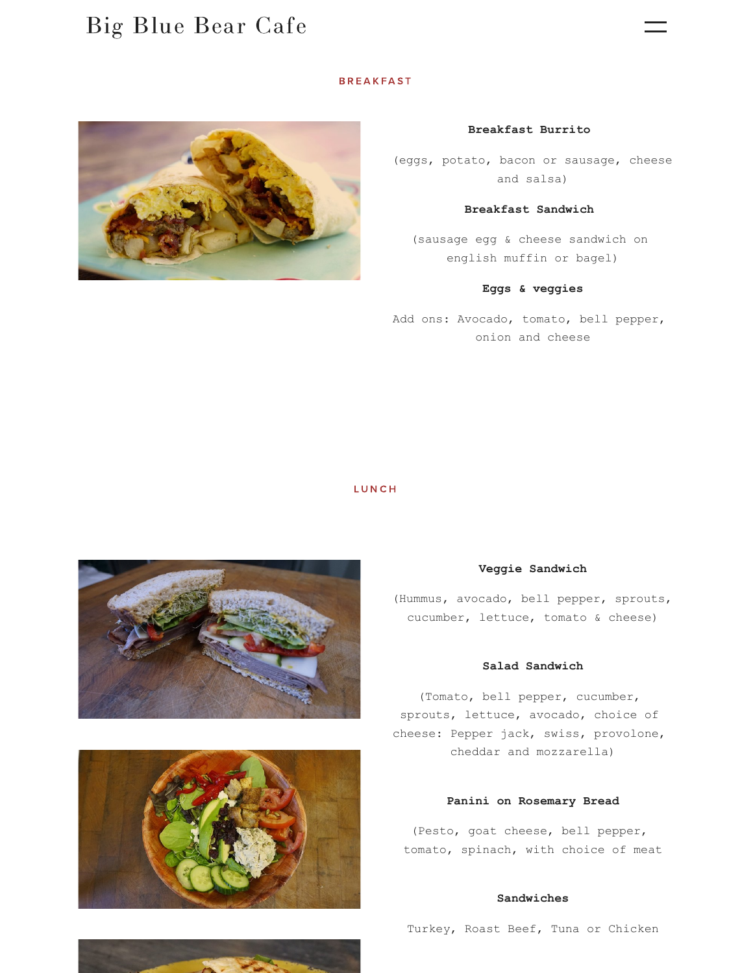## Big Blue [Bear](https://www.bigbluebearcafe.com/) Cafe

## **BREAKFAST**



#### **Breakfast Burrito**

(eggs, potato, bacon or sausage, cheese and salsa)

## **Breakfast Sandwich**

(sausage egg & cheese sandwich on english muffin or bagel)

## **Eggs & veggies**

Add ons: Avocado, tomato, bell pepper, onion and cheese

#### **LUNCH**



### **Veggie Sandwich**

(Hummus, avocado, bell pepper, sprouts, cucumber, lettuce, tomato & cheese)

## **Salad Sandwich**

(Tomato, bell pepper, cucumber, sprouts, lettuce, avocado, choice of cheese: Pepper jack, swiss, provolone, cheddar and mozzarella)

#### **Panini on Rosemary Bread**

(Pesto, goat cheese, bell pepper, tomato, spinach, with choice of meat

#### **Sandwiches**

Turkey, Roast Beef, Tuna or Chicken



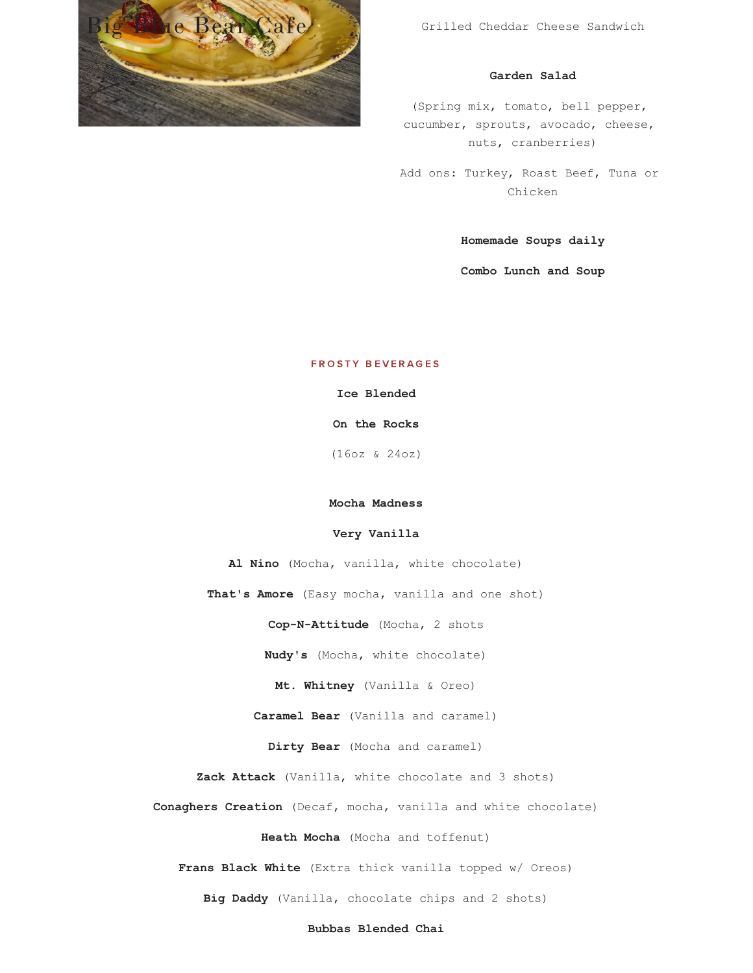

Grilled Cheddar Cheese Sandwich

## **Garden Salad**

(Spring mix, tomato, bell pepper, cucumber, sprouts, avocado, cheese, nuts, cranberries)

Add ons: Turkey, Roast Beef, Tuna or Chicken

**Homemade Soups daily**

**Combo Lunch and Soup**

## FROSTY BEVERAGES

**Ice Blended**

**On the Rocks**

(16oz & 24oz)

#### **Mocha Madness**

#### **Very Vanilla**

**Al Nino** (Mocha, vanilla, white chocolate)

**That's Amore** (Easy mocha, vanilla and one shot)

**Cop-N-Attitude** (Mocha, 2 shots

**Nudy's** (Mocha, white chocolate)

**Mt. Whitney** (Vanilla & Oreo)

**Caramel Bear** (Vanilla and caramel)

**Dirty Bear** (Mocha and caramel)

**Zack Attack** (Vanilla, white chocolate and 3 shots)

**Conaghers Creation** (Decaf, mocha, vanilla and white chocolate)

**Heath Mocha** (Mocha and toffenut)

**Frans Black White** (Extra thick vanilla topped w/ Oreos)

**Big Daddy** (Vanilla, chocolate chips and 2 shots)

#### **Bubbas Blended Chai**